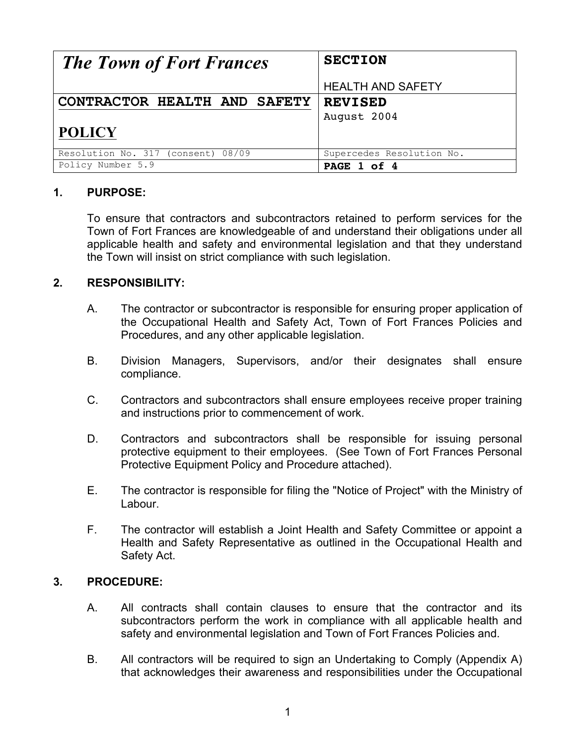| <b>The Town of Fort Frances</b>    | <b>SECTION</b>            |  |
|------------------------------------|---------------------------|--|
|                                    | <b>HEALTH AND SAFETY</b>  |  |
| CONTRACTOR HEALTH AND SAFETY       | <b>REVISED</b>            |  |
|                                    | August 2004               |  |
| <b>POLICY</b>                      |                           |  |
| Resolution No. 317 (consent) 08/09 | Supercedes Resolution No. |  |
| Policy Number 5.9                  | PAGE 1 of 4               |  |

## **1. PURPOSE:**

To ensure that contractors and subcontractors retained to perform services for the Town of Fort Frances are knowledgeable of and understand their obligations under all applicable health and safety and environmental legislation and that they understand the Town will insist on strict compliance with such legislation.

### **2. RESPONSIBILITY:**

- A. The contractor or subcontractor is responsible for ensuring proper application of the Occupational Health and Safety Act, Town of Fort Frances Policies and Procedures, and any other applicable legislation.
- B. Division Managers, Supervisors, and/or their designates shall ensure compliance.
- C. Contractors and subcontractors shall ensure employees receive proper training and instructions prior to commencement of work.
- D. Contractors and subcontractors shall be responsible for issuing personal protective equipment to their employees. (See Town of Fort Frances Personal Protective Equipment Policy and Procedure attached).
- E. The contractor is responsible for filing the "Notice of Project" with the Ministry of Labour.
- F. The contractor will establish a Joint Health and Safety Committee or appoint a Health and Safety Representative as outlined in the Occupational Health and Safety Act.

### **3. PROCEDURE:**

- A. All contracts shall contain clauses to ensure that the contractor and its subcontractors perform the work in compliance with all applicable health and safety and environmental legislation and Town of Fort Frances Policies and.
- B. All contractors will be required to sign an Undertaking to Comply (Appendix A) that acknowledges their awareness and responsibilities under the Occupational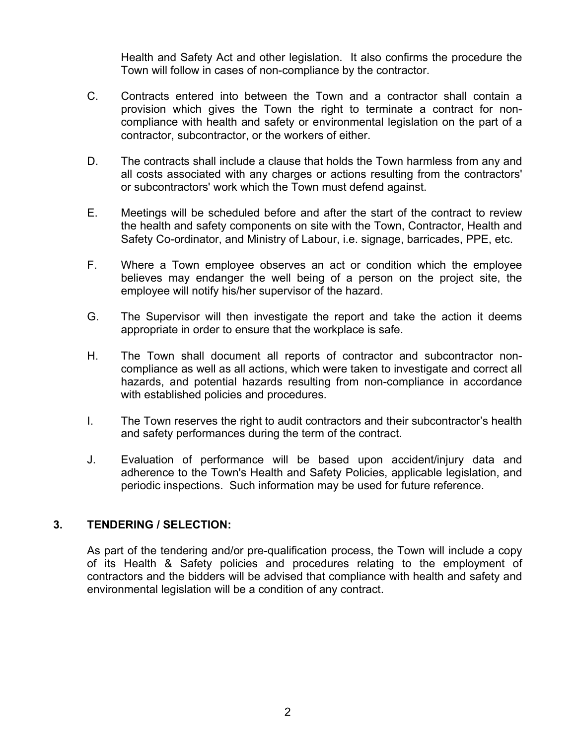Health and Safety Act and other legislation. It also confirms the procedure the Town will follow in cases of non-compliance by the contractor.

- C. Contracts entered into between the Town and a contractor shall contain a provision which gives the Town the right to terminate a contract for noncompliance with health and safety or environmental legislation on the part of a contractor, subcontractor, or the workers of either.
- D. The contracts shall include a clause that holds the Town harmless from any and all costs associated with any charges or actions resulting from the contractors' or subcontractors' work which the Town must defend against.
- E. Meetings will be scheduled before and after the start of the contract to review the health and safety components on site with the Town, Contractor, Health and Safety Co-ordinator, and Ministry of Labour, i.e. signage, barricades, PPE, etc.
- F. Where a Town employee observes an act or condition which the employee believes may endanger the well being of a person on the project site, the employee will notify his/her supervisor of the hazard.
- G. The Supervisor will then investigate the report and take the action it deems appropriate in order to ensure that the workplace is safe.
- H. The Town shall document all reports of contractor and subcontractor noncompliance as well as all actions, which were taken to investigate and correct all hazards, and potential hazards resulting from non-compliance in accordance with established policies and procedures.
- I. The Town reserves the right to audit contractors and their subcontractor's health and safety performances during the term of the contract.
- J. Evaluation of performance will be based upon accident/injury data and adherence to the Town's Health and Safety Policies, applicable legislation, and periodic inspections. Such information may be used for future reference.

# **3. TENDERING / SELECTION:**

As part of the tendering and/or pre-qualification process, the Town will include a copy of its Health & Safety policies and procedures relating to the employment of contractors and the bidders will be advised that compliance with health and safety and environmental legislation will be a condition of any contract.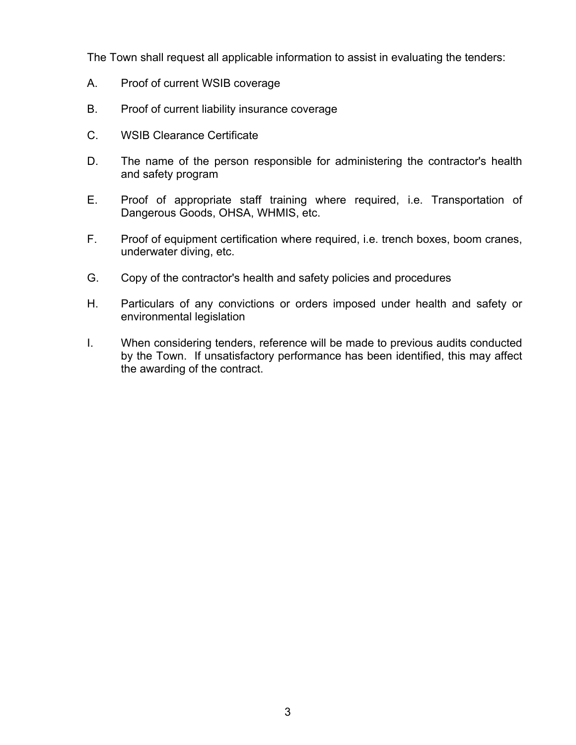The Town shall request all applicable information to assist in evaluating the tenders:

- A. Proof of current WSIB coverage
- B. Proof of current liability insurance coverage
- C. WSIB Clearance Certificate
- D. The name of the person responsible for administering the contractor's health and safety program
- E. Proof of appropriate staff training where required, i.e. Transportation of Dangerous Goods, OHSA, WHMIS, etc.
- F. Proof of equipment certification where required, i.e. trench boxes, boom cranes, underwater diving, etc.
- G. Copy of the contractor's health and safety policies and procedures
- H. Particulars of any convictions or orders imposed under health and safety or environmental legislation
- I. When considering tenders, reference will be made to previous audits conducted by the Town. If unsatisfactory performance has been identified, this may affect the awarding of the contract.